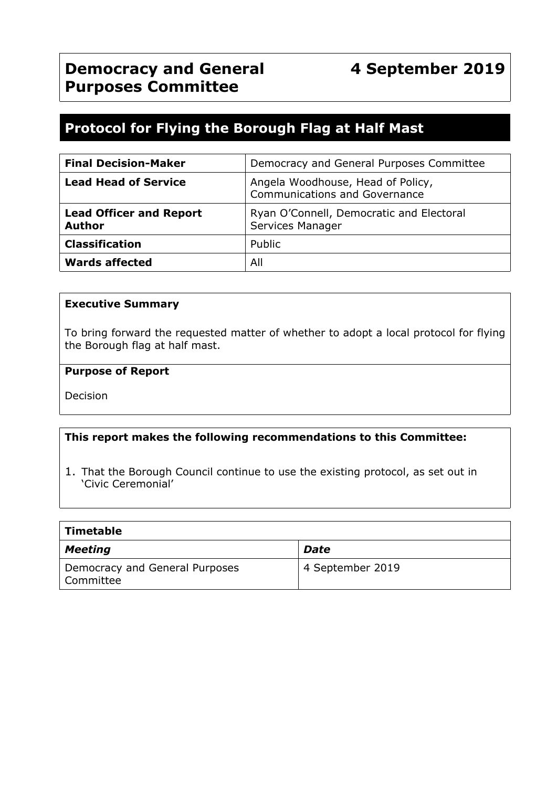# **Protocol for Flying the Borough Flag at Half Mast**

| <b>Final Decision-Maker</b>                     | Democracy and General Purposes Committee                           |  |
|-------------------------------------------------|--------------------------------------------------------------------|--|
| <b>Lead Head of Service</b>                     | Angela Woodhouse, Head of Policy,<br>Communications and Governance |  |
| <b>Lead Officer and Report</b><br><b>Author</b> | Ryan O'Connell, Democratic and Electoral<br>Services Manager       |  |
| <b>Classification</b>                           | Public                                                             |  |
| <b>Wards affected</b>                           | All                                                                |  |

#### **Executive Summary**

To bring forward the requested matter of whether to adopt a local protocol for flying the Borough flag at half mast.

#### **Purpose of Report**

Decision

#### **This report makes the following recommendations to this Committee:**

1. That the Borough Council continue to use the existing protocol, as set out in 'Civic Ceremonial'

| <b>Timetable</b>                            |                  |
|---------------------------------------------|------------------|
| <b>Meeting</b>                              | Date             |
| Democracy and General Purposes<br>Committee | 4 September 2019 |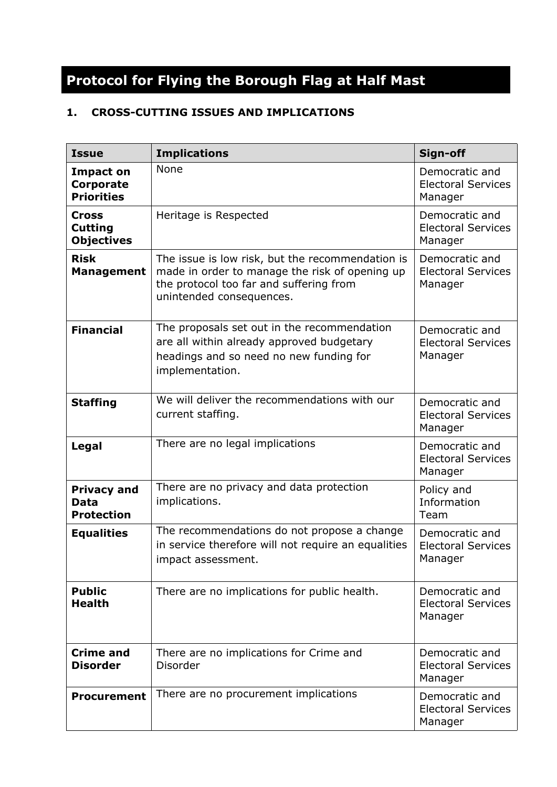# **Protocol for Flying the Borough Flag at Half Mast**

# **1. CROSS-CUTTING ISSUES AND IMPLICATIONS**

| <b>Issue</b>                                        | <b>Implications</b>                                                                                                                                                       | Sign-off                                               |
|-----------------------------------------------------|---------------------------------------------------------------------------------------------------------------------------------------------------------------------------|--------------------------------------------------------|
| <b>Impact on</b><br>Corporate<br><b>Priorities</b>  | <b>None</b>                                                                                                                                                               | Democratic and<br><b>Electoral Services</b><br>Manager |
| <b>Cross</b><br><b>Cutting</b><br><b>Objectives</b> | Heritage is Respected                                                                                                                                                     | Democratic and<br><b>Electoral Services</b><br>Manager |
| <b>Risk</b><br><b>Management</b>                    | The issue is low risk, but the recommendation is<br>made in order to manage the risk of opening up<br>the protocol too far and suffering from<br>unintended consequences. | Democratic and<br><b>Electoral Services</b><br>Manager |
| <b>Financial</b>                                    | The proposals set out in the recommendation<br>are all within already approved budgetary<br>headings and so need no new funding for<br>implementation.                    | Democratic and<br><b>Electoral Services</b><br>Manager |
| <b>Staffing</b>                                     | We will deliver the recommendations with our<br>current staffing.                                                                                                         | Democratic and<br><b>Electoral Services</b><br>Manager |
| Legal                                               | There are no legal implications                                                                                                                                           | Democratic and<br><b>Electoral Services</b><br>Manager |
| <b>Privacy and</b><br>Data<br><b>Protection</b>     | There are no privacy and data protection<br>implications.                                                                                                                 | Policy and<br>Information<br>Team                      |
| <b>Equalities</b>                                   | The recommendations do not propose a change<br>in service therefore will not require an equalities<br>impact assessment.                                                  | Democratic and<br><b>Electoral Services</b><br>Manager |
| <b>Public</b><br><b>Health</b>                      | There are no implications for public health.                                                                                                                              | Democratic and<br><b>Electoral Services</b><br>Manager |
| <b>Crime and</b><br><b>Disorder</b>                 | There are no implications for Crime and<br>Disorder                                                                                                                       | Democratic and<br><b>Electoral Services</b><br>Manager |
| <b>Procurement</b>                                  | There are no procurement implications                                                                                                                                     | Democratic and<br><b>Electoral Services</b><br>Manager |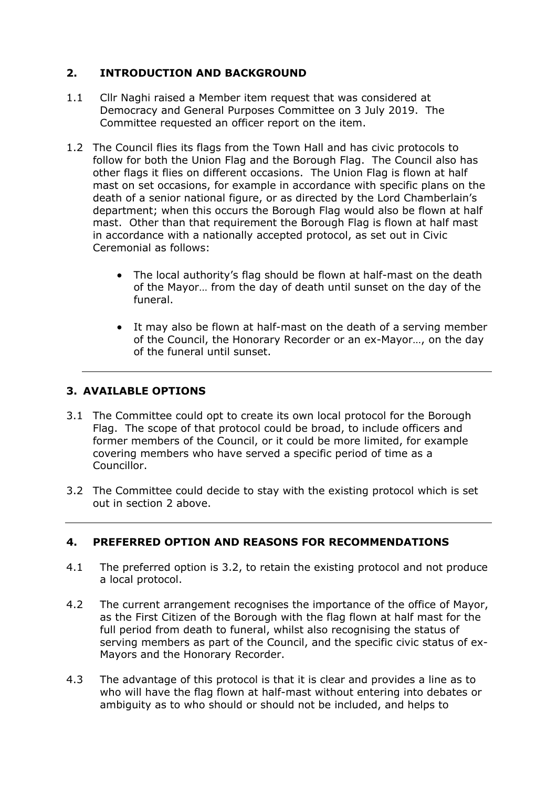# **2. INTRODUCTION AND BACKGROUND**

- 1.1 Cllr Naghi raised a Member item request that was considered at Democracy and General Purposes Committee on 3 July 2019. The Committee requested an officer report on the item.
- 1.2 The Council flies its flags from the Town Hall and has civic protocols to follow for both the Union Flag and the Borough Flag. The Council also has other flags it flies on different occasions. The Union Flag is flown at half mast on set occasions, for example in accordance with specific plans on the death of a senior national figure, or as directed by the Lord Chamberlain's department; when this occurs the Borough Flag would also be flown at half mast. Other than that requirement the Borough Flag is flown at half mast in accordance with a nationally accepted protocol, as set out in Civic Ceremonial as follows:
	- The local authority's flag should be flown at half-mast on the death of the Mayor… from the day of death until sunset on the day of the funeral.
	- It may also be flown at half-mast on the death of a serving member of the Council, the Honorary Recorder or an ex-Mayor…, on the day of the funeral until sunset.

# **3. AVAILABLE OPTIONS**

- 3.1 The Committee could opt to create its own local protocol for the Borough Flag. The scope of that protocol could be broad, to include officers and former members of the Council, or it could be more limited, for example covering members who have served a specific period of time as a Councillor.
- 3.2 The Committee could decide to stay with the existing protocol which is set out in section 2 above.

# **4. PREFERRED OPTION AND REASONS FOR RECOMMENDATIONS**

- 4.1 The preferred option is 3.2, to retain the existing protocol and not produce a local protocol.
- 4.2 The current arrangement recognises the importance of the office of Mayor, as the First Citizen of the Borough with the flag flown at half mast for the full period from death to funeral, whilst also recognising the status of serving members as part of the Council, and the specific civic status of ex-Mayors and the Honorary Recorder.
- 4.3 The advantage of this protocol is that it is clear and provides a line as to who will have the flag flown at half-mast without entering into debates or ambiguity as to who should or should not be included, and helps to